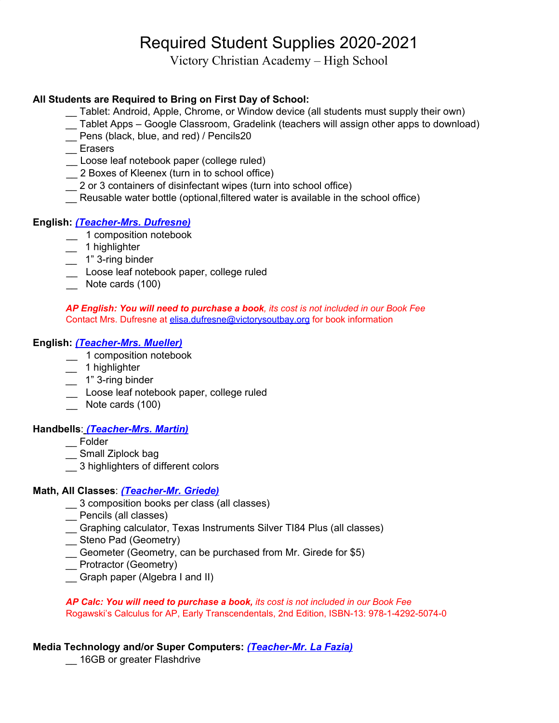# Required Student Supplies 2020-2021

Victory Christian Academy – High School

## **All Students are Required to Bring on First Day of School:**

- \_\_ Tablet: Android, Apple, Chrome, or Window device (all students must supply their own)
- \_\_ Tablet Apps Google Classroom, Gradelink (teachers will assign other apps to download)
- \_\_ Pens (black, blue, and red) / Pencils20
- \_\_ Erasers
- \_\_ Loose leaf notebook paper (college ruled)
- \_\_ 2 Boxes of Kleenex (turn in to school office)
- \_\_ 2 or 3 containers of disinfectant wipes (turn into school office)
- Reusable water bottle (optional, filtered water is available in the school office)

## **English:** *(Teacher-Mrs. Dufresne)*

- \_\_ 1 composition notebook
- \_\_ 1 highlighter
- \_\_ 1" 3-ring binder
- \_\_ Loose leaf notebook paper, college ruled
- Note cards (100)

*AP English: You will need to purchase a book, its cost is not included in our Book Fee* Contact Mrs. Dufresne at [elisa.dufresne@victorysoutbay.org](mailto:elisa.dufresne@victorysoutbay.org) for book information

#### **English:** *(Teacher-Mrs. Mueller)*

- \_\_ 1 composition notebook
- \_\_ 1 highlighter
- 1" 3-ring binder
- \_\_ Loose leaf notebook paper, college ruled
- Note cards (100)

#### **Handbells**: *(Teacher-Mrs. Martin)*

- \_\_ Folder
- \_\_ Small Ziplock bag
- \_\_ 3 highlighters of different colors

#### **Math, All Classes**: *(Teacher-Mr. Griede)*

- \_\_ 3 composition books per class (all classes)
- \_\_ Pencils (all classes)
- \_\_ Graphing calculator, Texas Instruments Silver TI84 Plus (all classes)
- \_\_ Steno Pad (Geometry)
- \_\_ Geometer (Geometry, can be purchased from Mr. Girede for \$5)
- \_\_ Protractor (Geometry)
- \_\_ Graph paper (Algebra I and II)

*AP Calc: You will need to purchase a book, its cost is not included in our Book Fee* Rogawski's Calculus for AP, Early Transcendentals, 2nd Edition, ISBN-13: 978-1-4292-5074-0

#### **Media Technology and/or Super Computers:** *(Teacher-Mr. La Fazia)*

\_\_ 16GB or greater Flashdrive